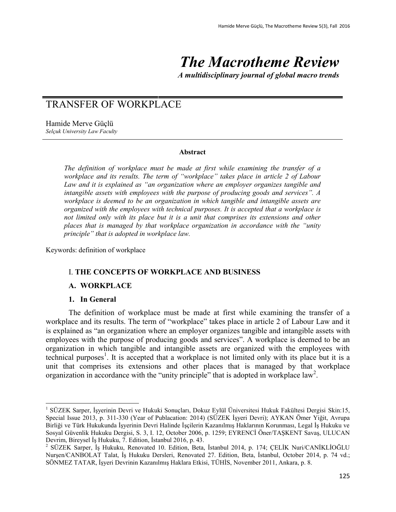# *The Macrotheme Review*

*A multidisciplinary journal of global macro trends*

# TRANSFER OF WORKPLACE

Hamide Merve Güçlü *Selçuk University Law Faculty*

#### **Abstract**

*The definition of workplace must be made at first while examining the transfer of a workplace and its results. The term of "workplace" takes place in article 2 of Labour Law and it is explained as "an organization where an employer organizes tangible and intangible assets with employees with the purpose of producing goods and services". A workplace is deemed to be an organization in which tangible and intangible assets are organized with the employees with technical purposes. It is accepted that a workplace is not limited only with its place but it is a unit that comprises its extensions and other places that is managed by that workplace organization in accordance with the "unity principle" that is adopted in workplace law.*

Keywords: definition of workplace

# I. **THE CONCEPTS OF WORKPLACE AND BUSINESS**

#### **A. WORKPLACE**

#### **1. In General**

 $\overline{a}$ 

The definition of workplace must be made at first while examining the transfer of a workplace and its results. The term of "workplace" takes place in article 2 of Labour Law and it is explained as "an organization where an employer organizes tangible and intangible assets with employees with the purpose of producing goods and services". A workplace is deemed to be an organization in which tangible and intangible assets are organized with the employees with technical purposes<sup>1</sup>. It is accepted that a workplace is not limited only with its place but it is a unit that comprises its extensions and other places that is managed by that workplace organization in accordance with the "unity principle" that is adopted in workplace law<sup>2</sup>.

<sup>&</sup>lt;sup>1</sup> SÜZEK Sarper, İşyerinin Devri ve Hukuki Sonuçları, Dokuz Eylül Üniversitesi Hukuk Fakültesi Dergisi Skin:15, Special Issue 2013, p. 311-330 (Year of Publacation: 2014) (SÜZEK İşyeri Devri); AYKAN Ömer Yiğit, Avrupa Birliği ve Türk Hukukunda İşyerinin Devri Halinde İşçilerin Kazanılmış Haklarının Korunması, Legal İş Hukuku ve Sosyal Güvenlik Hukuku Dergisi, S. 3, I. 12, October 2006, p. 1259; EYRENCİ Öner/TAŞKENT Savaş, ULUCAN Devrim, Bireysel İş Hukuku, 7. Edition, İstanbul 2016, p. 43.

<sup>2</sup> SÜZEK Sarper, İş Hukuku, Renovated 10. Edition, Beta, İstanbul 2014, p. 174; ÇELİK Nuri/CANİKLİOĞLU Nurşen/CANBOLAT Talat, İş Hukuku Dersleri, Renovated 27. Edition, Beta, İstanbul, October 2014, p. 74 vd.; SÖNMEZ TATAR, İşyeri Devrinin Kazanılmış Haklara Etkisi, TÜHİS, November 2011, Ankara, p. 8.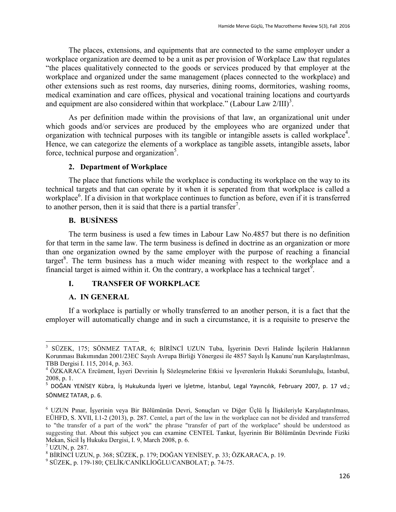The places, extensions, and equipments that are connected to the same employer under a workplace organization are deemed to be a unit as per provision of Workplace Law that regulates "the places qualitatively connected to the goods or services produced by that employer at the workplace and organized under the same management (places connected to the workplace) and other extensions such as rest rooms, day nurseries, dining rooms, dormitories, washing rooms, medical examination and care offices, physical and vocational training locations and courtyards and equipment are also considered within that workplace." (Labour Law  $2/III$ )<sup>3</sup>.

As per definition made within the provisions of that law, an organizational unit under which goods and/or services are produced by the employees who are organized under that organization with technical purposes with its tangible or intangible assets is called workplace<sup>4</sup>. Hence, we can categorize the elements of a workplace as tangible assets, intangible assets, labor force, technical purpose and organization<sup>5</sup>.

#### **2. Department of Workplace**

The place that functions while the workplace is conducting its workplace on the way to its technical targets and that can operate by it when it is seperated from that workplace is called a workplace<sup>6</sup>. If a division in that workplace continues to function as before, even if it is transferred to another person, then it is said that there is a partial transfer<sup>7</sup>.

#### **B. BUSİNESS**

The term business is used a few times in Labour Law No.4857 but there is no definition for that term in the same law. The term business is defined in doctrine as an organization or more than one organization owned by the same employer with the purpose of reaching a financial target<sup>8</sup>. The term business has a much wider meaning with respect to the workplace and a financial target is aimed within it. On the contrary, a workplace has a technical target<sup>9</sup>.

#### **I. TRANSFER OF WORKPLACE**

#### **A. IN GENERAL**

If a workplace is partially or wholly transferred to an another person, it is a fact that the employer will automatically change and in such a circumstance, it is a requisite to preserve the

 $\overline{a}$ 3 SÜZEK, 175; SÖNMEZ TATAR, 6; BİRİNCİ UZUN Tuba, İşyerinin Devri Halinde İşçilerin Haklarının Korunması Bakımından 2001/23EC Sayılı Avrupa Birliği Yönergesi ile 4857 Sayılı İş Kanunu'nun Karşılaştırılması, TBB Dergisi I. 115, 2014, p. 363.

<sup>4</sup> ÖZKARACA Ercüment, İşyeri Devrinin İş Sözleşmelerine Etkisi ve İşverenlerin Hukuki Sorumluluğu, İstanbul, 2008, p. 1.

<sup>5</sup> DOĞAN YENİSEY Kübra, İş Hukukunda İşyeri ve İşletme, İstanbul, Legal Yayıncılık, February 2007, p. 17 vd.; SÖNMEZ TATAR, p. 6.

<sup>6</sup> UZUN Pınar, İşyerinin veya Bir Bölümünün Devri, Sonuçları ve Diğer Üçlü İş İlişkileriyle Karşılaştırılması, EÜHFD, S. XVII, I.1-2 (2013), p. 287. Centel, a part of the law in the workplace can not be divided and transferred to "the transfer of a part of the work" the phrase "transfer of part of the workplace" should be understood as suggesting that. About this subject you can examine CENTEL Tankut, İşyerinin Bir Bölümünün Devrinde Fiziki Mekan, Sicil İş Hukuku Dergisi, I. 9, March 2008, p. 6.

 $<sup>7</sup>$  UZUN, p. 287.</sup>

<sup>8</sup> BİRİNCİ UZUN, p. 368; SÜZEK, p. 179; DOĞAN YENİSEY, p. 33; ÖZKARACA, p. 19.

<sup>9</sup> SÜZEK, p. 179-180; ÇELİK/CANİKLİOĞLU/CANBOLAT; p. 74-75.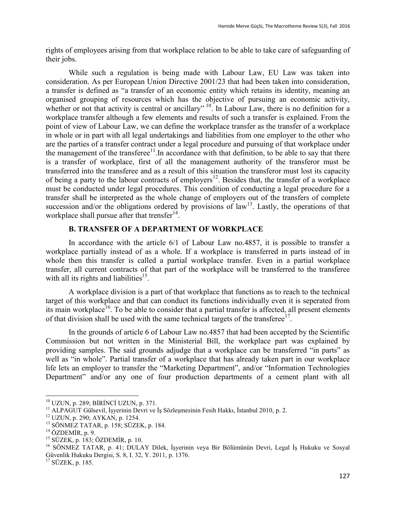rights of employees arising from that workplace relation to be able to take care of safeguarding of their jobs.

While such a regulation is being made with Labour Law, EU Law was taken into consideration. As per European Union Directive 2001/23 that had been taken into consideration, a transfer is defined as "a transfer of an economic entity which retains its identity, meaning an organised grouping of resources which has the objective of pursuing an economic activity, whether or not that activity is central or ancillary" <sup>10</sup>. In Labour Law, there is no definition for a workplace transfer although a few elements and results of such a transfer is explained. From the point of view of Labour Law, we can define the workplace transfer as the transfer of a workplace in whole or in part with all legal undertakings and liabilities from one employer to the other who are the parties of a transfer contract under a legal procedure and pursuing of that workplace under the management of the transferee $11$ . In accordance with that definition, to be able to say that there is a transfer of workplace, first of all the management authority of the transferor must be transferred into the transferee and as a result of this situation the transferor must lost its capacity of being a party to the labour contracts of employers<sup>12</sup>. Besides that, the transfer of a workplace must be conducted under legal procedures. This condition of conducting a legal procedure for a transfer shall be interpreted as the whole change of employers out of the transfers of complete succession and/or the obligations ordered by provisions of law<sup>13</sup>. Lastly, the operations of that workplace shall pursue after that trensfer $14$ .

# **B. TRANSFER OF A DEPARTMENT OF WORKPLACE**

In accordance with the article 6/1 of Labour Law no.4857, it is possible to transfer a workplace partially instead of as a whole. If a workplace is transferred in parts instead of in whole then this transfer is called a partial workplace transfer. Even in a partial workplace transfer, all current contracts of that part of the workplace will be transferred to the transferee with all its rights and liabilities $^{15}$ .

A workplace division is a part of that workplace that functions as to reach to the technical target of this workplace and that can conduct its functions individually even it is seperated from its main workplace<sup>16</sup>. To be able to consider that a partial transfer is affected, all present elements of that division shall be used with the same technical targets of the transferee<sup>17</sup>.

In the grounds of article 6 of Labour Law no.4857 that had been accepted by the Scientific Commission but not written in the Ministerial Bill, the workplace part was explained by providing samples. The said grounds adjudge that a workplace can be transferred "in parts" as well as "in whole". Partial transfer of a workplace that has already taken part in our workplace life lets an employer to transfer the "Marketing Department", and/or "Information Technologies Department" and/or any one of four production departments of a cement plant with all

<sup>10</sup> UZUN, p. 289; BİRİNCİ UZUN, p. 371.

<sup>11</sup> ALPAGUT Gülsevil, İşyerinin Devri ve İş Sözleşmesinin Fesih Hakkı, İstanbul 2010, p. 2.

<sup>12</sup> UZUN, p. 290; AYKAN, p. 1254.

<sup>13</sup> SÖNMEZ TATAR, p. 158; SÜZEK, p. 184.

 $14$  ÖZDEMİR, p. 9.

 $15$  SÜZEK, p. 183; ÖZDEMİR, p. 10.

<sup>16</sup> SÖNMEZ TATAR, p. 41; DULAY Dilek, İşyerinin veya Bir Bölümünün Devri, Legal İş Hukuku ve Sosyal Güvenlik Hukuku Dergisi, S. 8, I. 32, Y. 2011, p. 1376.

<sup>17</sup> SÜZEK, p. 185.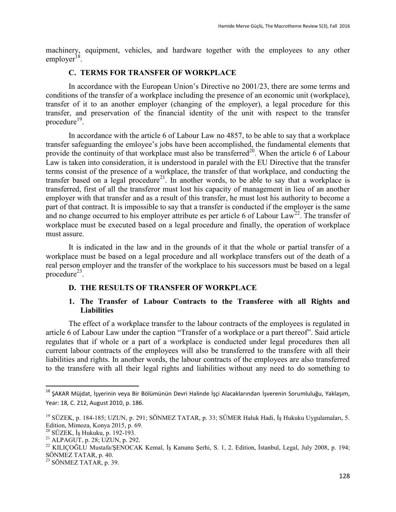machinery, equipment, vehicles, and hardware together with the employees to any other employer<sup>18</sup>.

#### **C. TERMS FOR TRANSFER OF WORKPLACE**

In accordance with the European Union's Directive no 2001/23, there are some terms and conditions of the transfer of a workplace including the presence of an economic unit (workplace), transfer of it to an another employer (changing of the employer), a legal procedure for this transfer, and preservation of the financial identity of the unit with respect to the transfer procedure<sup>19</sup>.

In accordance with the article 6 of Labour Law no 4857, to be able to say that a workplace transfer safeguarding the emloyee's jobs have been accomplished, the fundamental elements that provide the continuity of that workplace must also be transferred<sup>20</sup>. When the article 6 of Labour Law is taken into consideration, it is understood in paralel with the EU Directive that the transfer terms consist of the presence of a workplace, the transfer of that workplace, and conducting the transfer based on a legal procedure<sup>21</sup>. In another words, to be able to say that a workplace is transferred, first of all the transferor must lost his capacity of management in lieu of an another employer with that transfer and as a result of this transfer, he must lost his authority to become a part of that contract. It is impossible to say that a transfer is conducted if the employer is the same and no change occurred to his employer attribute es per article 6 of Labour Law<sup>22</sup>. The transfer of workplace must be executed based on a legal procedure and finally, the operation of workplace must assure.

It is indicated in the law and in the grounds of it that the whole or partial transfer of a workplace must be based on a legal procedure and all workplace transfers out of the death of a real person employer and the transfer of the workplace to his successors must be based on a legal procedure<sup>23</sup>.

#### **D. THE RESULTS OF TRANSFER OF WORKPLACE**

## **1. The Transfer of Labour Contracts to the Transferee with all Rights and Liabilities**

The effect of a workplace transfer to the labour contracts of the employees is regulated in article 6 of Labour Law under the caption "Transfer of a workplace or a part thereof". Said article regulates that if whole or a part of a workplace is conducted under legal procedures then all current labour contracts of the employees will also be transferred to the transfere with all their liabilities and rights. In another words, the labour contracts of the employees are also transferred to the transfere with all their legal rights and liabilities without any need to do something to

<sup>&</sup>lt;sup>18</sup> ŞAKAR Müjdat, İşyerinin veya Bir Bölümünün Devri Halinde İşçi Alacaklarından İşverenin Sorumluluğu, Yaklaşım, Year: 18, C. 212, August 2010, p. 186.

<sup>19</sup> SÜZEK, p. 184-185; UZUN, p. 291; SÖNMEZ TATAR, p. 33; SÜMER Haluk Hadi, İş Hukuku Uygulamaları, 5. Edition, Mimoza, Konya 2015, p. 69.

 $20$  SÜZEK, İş Hukuku, p. 192-193.

<sup>&</sup>lt;sup>21</sup> ALPAGUT, p. 28; UZUN, p. 292.

<sup>&</sup>lt;sup>22</sup> KILIÇOĞLU Mustafa/ŞENOCAK Kemal, İş Kanunu Şerhi, S. 1, 2. Edition, İstanbul, Legal, July 2008, p. 194; SÖNMEZ TATAR, p. 40.

 $23$  SÖNMEZ TATAR, p. 39.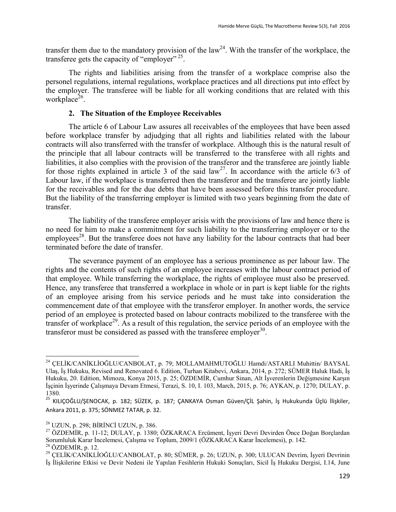transfer them due to the mandatory provision of the law<sup>24</sup>. With the transfer of the workplace, the transferee gets the capacity of "employer"<sup>25</sup>.

The rights and liabilities arising from the transfer of a workplace comprise also the personel regulations, internal regulations, workplace practices and all directions put into effect by the employer. The transferee will be liable for all working conditions that are related with this workplace<sup>26</sup>.

#### **2. The Situation of the Employee Receivables**

The article 6 of Labour Law assures all receivables of the employees that have been assed before workplace transfer by adjudging that all rights and liabilities related with the labour contracts will also transferred with the transfer of workplace. Although this is the natural result of the principle that all labour contracts will be transferred to the transferee with all rights and liabilities, it also complies with the provision of the transferor and the transferee are jointly liable for those rights explained in article 3 of the said law<sup>27</sup>. In accordance with the article  $6/3$  of Labour law, if the workplace is transferred then the transferor and the transferee are jointly liable for the receivables and for the due debts that have been assessed before this transfer procedure. But the liability of the transferring employer is limited with two years beginning from the date of transfer.

The liability of the transferee employer arisis with the provisions of law and hence there is no need for him to make a commitment for such liability to the transferring employer or to the employees<sup>28</sup>. But the transferee does not have any liability for the labour contracts that had beer terminated before the date of transfer.

The severance payment of an employee has a serious prominence as per labour law. The rights and the contents of such rights of an employee increases with the labour contract period of that employee. While transferring the workplace, the rights of employee must also be preserved. Hence, any transferee that transferred a workplace in whole or in part is kept liable for the rights of an employee arising from his service periods and he must take into consideration the commencement date of that employee with the transferor employer. In another words, the service period of an employee is protected based on labour contracts mobilized to the transferee with the transfer of workplace<sup>29</sup>. As a result of this regulation, the service periods of an employee with the transferor must be considered as passed with the transferee employer<sup>30</sup>.

<sup>24</sup> ÇELİK/CANİKLİOĞLU/CANBOLAT, p. 79; MOLLAMAHMUTOĞLU Hamdi/ASTARLI Muhittin/ BAYSAL Ulaş, İş Hukuku, Revised and Renovated 6. Edition, Turhan Kitabevi, Ankara, 2014, p. 272; SÜMER Haluk Hadi, İş Hukuku, 20. Edition, Mimoza, Konya 2015, p. 25; ÖZDEMİR, Cumhur Sinan, Alt İşverenlerin Değişmesine Karşın İşçinin İşyerinde Çalışmaya Devam Etmesi, Terazi, S. 10, I. 103, March, 2015, p. 76; AYKAN, p. 1270; DULAY, p. 1380.

<sup>25</sup> KILIÇOĞLU/ŞENOCAK, p. 182; SÜZEK, p. 187; ÇANKAYA Osman Güven/ÇİL Şahin, İş Hukukunda Üçlü İlişkiler, Ankara 2011, p. 375; SÖNMEZ TATAR, p. 32.

<sup>26</sup> UZUN, p. 298; BİRİNCİ UZUN, p. 386.

<sup>&</sup>lt;sup>27</sup> ÖZDEMİR, p. 11-12; DULAY, p. 1380; ÖZKARACA Ercüment, İşyeri Devri Devirden Önce Doğan Borçlardan Sorumluluk Karar İncelemesi, Çalışma ve Toplum, 2009/1 (ÖZKARACA Karar İncelemesi), p. 142.  $28$  ÖZDEMİR, p. 12.

<sup>29</sup> ÇELİK/CANİKLİOĞLU/CANBOLAT, p. 80; SÜMER, p. 26; UZUN, p. 300; ULUCAN Devrim, İşyeri Devrinin İş İlişkilerine Etkisi ve Devir Nedeni ile Yapılan Fesihlerin Hukuki Sonuçları, Sicil İş Hukuku Dergisi, I.14, June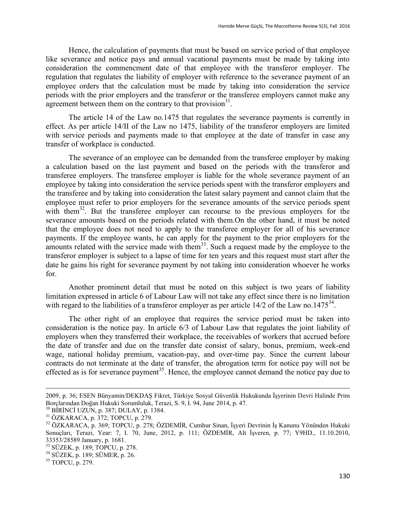Hence, the calculation of payments that must be based on service period of that employee like severance and notice pays and annual vacational payments must be made by taking into consideration the commencment date of that employee with the transferor employer. The regulation that regulates the liability of employer with reference to the severance payment of an employee orders that the calculation must be made by taking into consideration the service periods with the prior employers and the transferor or the transferee employers cannot make any agreement between them on the contrary to that provision $3<sup>1</sup>$ .

The article 14 of the Law no.1475 that regulates the severance payments is currently in effect. As per article 14/II of the Law no 1475, liability of the transferor employers are limited with service periods and payments made to that employee at the date of transfer in case any transfer of workplace is conducted.

The severance of an employee can be demanded from the transferee employer by making a calculation based on the last payment and based on the periods with the transferor and transferee employers. The transferee employer is liable for the whole severance payment of an employee by taking into consideration the service periods spent with the transferor employers and the transferee and by taking into consideration the latest salary payment and cannot claim that the employee must refer to prior employers for the severance amounts of the service periods spent with them<sup>32</sup>. But the transferee employer can recourse to the previous employers for the severance amounts based on the periods related with them.On the other hand, it must be noted that the employee does not need to apply to the transferee employer for all of his severance payments. If the employee wants, he can apply for the payment to the prior employers for the amounts related with the service made with them<sup>33</sup>. Such a request made by the employee to the transferor employer is subject to a lapse of time for ten years and this request must start after the date he gains his right for severance payment by not taking into consideration whoever he works for.

Another prominent detail that must be noted on this subject is two years of liability limitation expressed in article 6 of Labour Law will not take any effect since there is no limitation with regard to the liabilities of a transferor employer as per article 14/2 of the Law no.1475 $34$ .

The other right of an employee that requires the service period must be taken into consideration is the notice pay. In article 6/3 of Labour Law that regulates the joint liability of employers when they transferred their workplace, the receivables of workers that accrued before the date of transfer and due on the transfer date consist of salary, bonus, premium, week-end wage, national holiday premium, vacation-pay, and over-time pay. Since the current labour contracts do not terminate at the date of transfer, the abrogation term for notice pay will not be effected as is for severance payment<sup>35</sup>. Hence, the employee cannot demand the notice pay due to

**.** 

<sup>2009,</sup> p. 36; ESEN Bünyamin/DEKDAŞ Fikret, Türkiye Sosyal Güvenlik Hukukunda İşyerinin Devri Halinde Prim Borçlarından Doğan Hukuki Sorumluluk, Terazi, S. 9, I. 94, June 2014, p. 47.

<sup>30</sup> BİRİNCİ UZUN, p. 387; DULAY, p. 1384.

<sup>31</sup> ÖZKARACA, p. 372; TOPCU, p. 279.

<sup>32</sup> ÖZKARACA, p. 369; TOPCU, p. 278; ÖZDEMİR, Cumhur Sinan, İşyeri Devrinin İş Kanunu Yönünden Hukuki Sonuçları, Terazi, Year: 7, I. 70, June, 2012, p. 111; ÖZDEMİR, Alt İşveren, p. 77; Y9HD., 11.10.2010, 33353/28589 January, p. 1681.

<sup>33</sup> SÜZEK, p. 189; TOPCU, p. 278.

<sup>34</sup> SÜZEK, p. 189; SÜMER, p. 26.

<sup>35</sup> TOPCU, p. 279.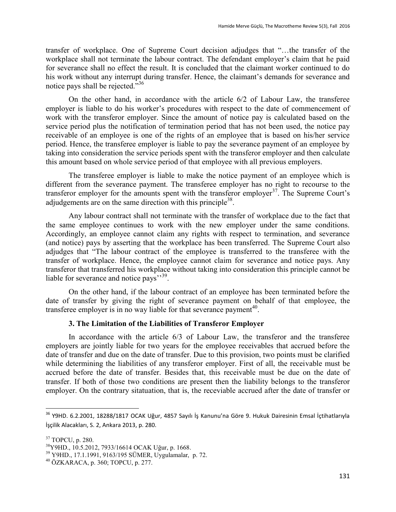transfer of workplace. One of Supreme Court decision adjudges that "…the transfer of the workplace shall not terminate the labour contract. The defendant employer's claim that he paid for severance shall no effect the result. It is concluded that the claimant worker continued to do his work without any interrupt during transfer. Hence, the claimant's demands for severance and notice pays shall be rejected."<sup>36</sup>

On the other hand, in accordance with the article 6/2 of Labour Law, the transferee employer is liable to do his worker's procedures with respect to the date of commencement of work with the transferor employer. Since the amount of notice pay is calculated based on the service period plus the notification of termination period that has not been used, the notice pay receivable of an employee is one of the rights of an employee that is based on his/her service period. Hence, the transferee employer is liable to pay the severance payment of an employee by taking into consideration the service periods spent with the transferor employer and then calculate this amount based on whole service period of that employee with all previous employers.

The transferee employer is liable to make the notice payment of an employee which is different from the severance payment. The transferee employer has no right to recourse to the transferor employer for the amounts spent with the transferor employer<sup>37</sup>. The Supreme Court's adjudgements are on the same direction with this principle<sup>38</sup>.

Any labour contract shall not terminate with the transfer of workplace due to the fact that the same employee continues to work with the new employer under the same conditions. Accordingly, an employee cannot claim any rights with respect to termination, and severance (and notice) pays by asserting that the workplace has been transferred. The Supreme Court also adjudges that "The labour contract of the employee is transferred to the transferee with the transfer of workplace. Hence, the employee cannot claim for severance and notice pays. Any transferor that transferred his workplace without taking into consideration this principle cannot be liable for severance and notice pays''<sup>39</sup>.

On the other hand, if the labour contract of an employee has been terminated before the date of transfer by giving the right of severance payment on behalf of that employee, the transferee employer is in no way liable for that severance payment<sup>40</sup>.

## **3. The Limitation of the Liabilities of Transferor Employer**

In accordance with the article 6/3 of Labour Law, the transferor and the transferee employers are jointly liable for two years for the employee receivables that accrued before the date of transfer and due on the date of transfer. Due to this provision, two points must be clarified while determining the liabilities of any transferor employer. First of all, the receivable must be accrued before the date of transfer. Besides that, this receivable must be due on the date of transfer. If both of those two conditions are present then the liability belongs to the transferor employer. On the contrary sitatuation, that is, the receviable accrued after the date of transfer or

 $\ddot{\phantom{a}}$ 

<sup>36</sup> Y9HD. 6.2.2001, 18288/1817 OCAK Uğur, 4857 Sayılı İş Kanunu'na Göre 9. Hukuk Dairesinin Emsal İçtihatlarıyla İşçilik Alacakları, S. 2, Ankara 2013, p. 280.

<sup>37</sup> TOPCU, p. 280.

<sup>38</sup>Y9HD., 10.5.2012, 7933/16614 OCAK Uğur, p. 1668.

<sup>39</sup> Y9HD., 17.1.1991, 9163/195 SÜMER, Uygulamalar, p. 72.

<sup>40</sup> ÖZKARACA, p. 360; TOPCU, p. 277.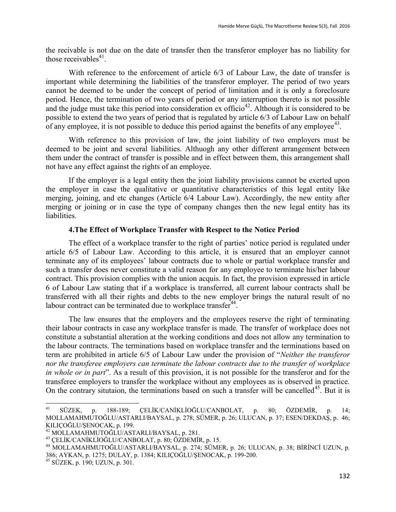the recivable is not due on the date of transfer then the transferor employer has no liability for those receivables $41$ .

With reference to the enforcement of article 6/3 of Labour Law, the date of transfer is important while determining the liabilities of the transferor employer. The period of two years cannot be deemed to be under the concept of period of limitation and it is only a foreclosure period. Hence, the termination of two years of period or any interruption thereto is not possible and the judge must take this period into consideration ex officio<sup>42</sup>. Although it is considered to be possible to extend the two years of period that is regulated by article 6/3 of Labour Law on behalf of any employee, it is not possible to deduce this period against the benefits of any employee<sup>43</sup>.

With reference to this provision of law, the joint liability of two employers must be deemed to be joint and several liabilities. Althuogh any other different arrangement between them under the contract of transfer is possible and in effect between them, this arrangement shall not have any effect against the rights of an employee.

If the employer is a legal entity then the joint liability provisions cannot be exerted upon the employer in case the qualitative or quantitative characteristics of this legal entity like merging, joining, and etc changes (Article 6/4 Labour Law). Accordingly, the new entity after merging or joining or in case the type of company changes then the new legal entity has its liabilities.

#### **4.The Effect of Workplace Transfer with Respect to the Notice Period**

The effect of a workplace transfer to the right of parties' notice period is regulated under article 6/5 of Labour Law. According to this article, it is ensured that an employer cannot terminate any of its employees' labour contracts due to whole or partial workplace transfer and such a transfer does never constitute a valid reason for any employee to terminate his/her labour contract. This provision complies with the union acquis. In fact, the provision expressed in article 6 of Labour Law stating that if a workplace is transferred, all current labour contracts shall be transferred with all their rights and debts to the new employer brings the natural result of no labour contract can be terminated due to workplace transfer<sup>44</sup>.

The law ensures that the employers and the employees reserve the right of terminating their labour contracts in case any workplace transfer is made. The transfer of workplace does not constitute a substantial alteration at the working conditions and does not allow any termination to the labour contracts. The terminations based on workplace transfer and the terminations based on term are prohibited in article 6/5 of Labour Law under the provision of "*Neither the transferor nor the transferee employers can terminate the labour contracts due to the transfer of workplace in whole or in part*". As a result of this provision, it is not possible for the transferor and for the transferee employers to transfer the workplace without any employees as is observed in practice. On the contrary situtaion, the terminations based on such a transfer will be cancelled<sup>45</sup>. But it is

<sup>41</sup> <sup>41</sup> SÜZEK, p. 188-189; ÇELİK/CANİKLİOĞLU/CANBOLAT, p. 80; ÖZDEMİR, p. 14; MOLLAMAHMUTOĞLU/ASTARLI/BAYSAL, p. 278; SÜMER, p. 26; ULUCAN, p. 37; ESEN/DEKDAŞ, p. 46; KILIÇOĞLU/ŞENOCAK, p. 199.

<sup>42</sup> MOLLAMAHMUTOĞLU/ASTARLI/BAYSAL, p. 281.

<sup>43</sup> ÇELİK/CANİKLİOĞLU/CANBOLAT, p. 80; ÖZDEMİR, p. 15.

<sup>44</sup> MOLLAMAHMUTOĞLU/ASTARLI/BAYSAL, p. 274; SÜMER, p. 26; ULUCAN, p. 38; BİRİNCİ UZUN, p. 386; AYKAN, p. 1275; DULAY, p. 1384; KILIÇOĞLU/ŞENOCAK, p. 199-200.

<sup>45</sup> SÜZEK, p. 190; UZUN, p. 301.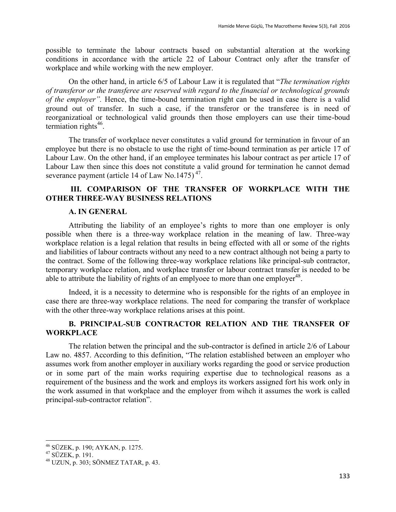possible to terminate the labour contracts based on substantial alteration at the working conditions in accordance with the article 22 of Labour Contract only after the transfer of workplace and while working with the new employer.

On the other hand, in article 6/5 of Labour Law it is regulated that "*The termination rights of transferor or the transferee are reserved with regard to the financial or technological grounds of the employer".* Hence, the time-bound termination right can be used in case there is a valid ground out of transfer. In such a case, if the transferor or the transferee is in need of reorganizatioal or technological valid grounds then those employers can use their time-boud termiation rights<sup>46</sup>.

The transfer of workplace never constitutes a valid ground for termination in favour of an employee but there is no obstacle to use the right of time-bound termination as per article 17 of Labour Law. On the other hand, if an employee terminates his labour contract as per article 17 of Labour Law then since this does not constitute a valid ground for termination he cannot demad severance payment (article 14 of Law No.1475)<sup>47</sup>.

## **III. COMPARISON OF THE TRANSFER OF WORKPLACE WITH THE OTHER THREE-WAY BUSINESS RELATIONS**

#### **A. IN GENERAL**

Attributing the liability of an employee's rights to more than one employer is only possible when there is a three-way workplace relation in the meaning of law. Three-way workplace relation is a legal relation that results in being effected with all or some of the rights and liabilities of labour contracts without any need to a new contract although not being a party to the contract. Some of the following three-way workplace relations like principal-sub contractor, temporary workplace relation, and workplace transfer or labour contract transfer is needed to be able to attribute the liability of rights of an emplyoee to more than one employer<sup>48</sup>.

Indeed, it is a necessity to determine who is responsible for the rights of an employee in case there are three-way workplace relations. The need for comparing the transfer of workplace with the other three-way workplace relations arises at this point.

# **B. PRINCIPAL-SUB CONTRACTOR RELATION AND THE TRANSFER OF WORKPLACE**

The relation betwen the principal and the sub-contractor is defined in article 2/6 of Labour Law no. 4857. According to this definition, "The relation established between an employer who assumes work from another employer in auxiliary works regarding the good or service production or in some part of the main works requiring expertise due to technological reasons as a requirement of the business and the work and employs its workers assigned fort his work only in the work assumed in that workplace and the employer from wihch it assumes the work is called principal-sub-contractor relation".

<sup>46</sup> SÜZEK, p. 190; AYKAN, p. 1275.

<sup>47</sup> SÜZEK, p. 191.

<sup>48</sup> UZUN, p. 303; SÖNMEZ TATAR, p. 43.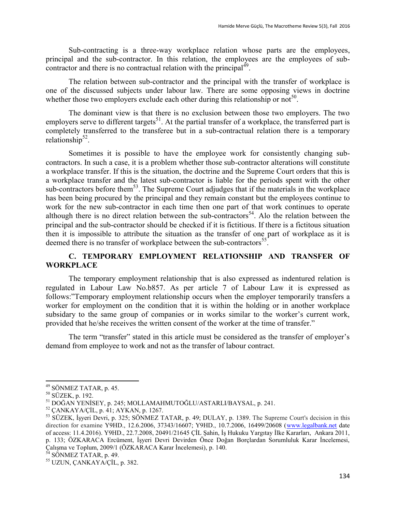Sub-contracting is a three-way workplace relation whose parts are the employees, principal and the sub-contractor. In this relation, the employees are the employees of subcontractor and there is no contractual relation with the principal $^{49}$ .

The relation between sub-contractor and the principal with the transfer of workplace is one of the discussed subjects under labour law. There are some opposing views in doctrine whether those two employers exclude each other during this relationship or not<sup>50</sup>.

The dominant view is that there is no exclusion between those two employers. The two employers serve to different targets<sup>51</sup>. At the partial transfer of a workplace, the transferred part is completely transferred to the transferee but in a sub-contractual relation there is a temporary relationship $52$ .

Sometimes it is possible to have the employee work for consistently changing subcontractors. In such a case, it is a problem whether those sub-contractor alterations will constitute a workplace transfer. If this is the situation, the doctrine and the Supreme Court orders that this is a workplace transfer and the latest sub-contractor is liable for the periods spent with the other sub-contractors before them<sup>53</sup>. The Supreme Court adjudges that if the materials in the workplace has been being procured by the principal and they remain constant but the employees continue to work for the new sub-contractor in each time then one part of that work continues to operate although there is no direct relation between the sub-contractors<sup>54</sup>. Alo the relation between the principal and the sub-contractor should be checked if it is fictitious. If there is a fictitous situation then it is impossible to attribute the situation as the transfer of one part of workplace as it is deemed there is no transfer of workplace between the sub-contractors<sup>55</sup>.

# **C. TEMPORARY EMPLOYMENT RELATIONSHIP AND TRANSFER OF WORKPLACE**

The temporary employment relationship that is also expressed as indentured relation is regulated in Labour Law No.b857. As per article 7 of Labour Law it is expressed as follows:"Temporary employment relationship occurs when the employer temporarily transfers a worker for employment on the condition that it is within the holding or in another workplace subsidary to the same group of companies or in works similar to the worker's current work, provided that he/she receives the written consent of the worker at the time of transfer."

The term "transfer" stated in this article must be considered as the transfer of employer's demand from employee to work and not as the transfer of labour contract.

 $\ddot{\phantom{a}}$ 

<sup>&</sup>lt;sup>49</sup> SÖNMEZ TATAR, p. 45.

<sup>50</sup> SÜZEK, p. 192.

<sup>51</sup> DOĞAN YENİSEY, p. 245; MOLLAMAHMUTOĞLU/ASTARLI/BAYSAL, p. 241.

<sup>52</sup> ÇANKAYA/ÇİL, p. 41; AYKAN, p. 1267.

<sup>&</sup>lt;sup>53</sup> SÜZEK, Isyeri Devri, p. 325; SÖNMEZ TATAR, p. 49; DULAY, p. 1389. The Supreme Court's decision in this direction for examine Y9HD., 12.6.2006, 37343/16607; Y9HD., 10.7.2006, 16499/20608 [\(www.legalbank.net](http://www.legalbank.net/) date of access: 11.4.2016). Y9HD., 22.7.2008, 20491/21645 ÇİL Şahin, İş Hukuku Yargıtay İlke Kararları, Ankara 2011, p. 133; ÖZKARACA Ercüment, İşyeri Devri Devirden Önce Doğan Borçlardan Sorumluluk Karar İncelemesi, Çalışma ve Toplum, 2009/1 (ÖZKARACA Karar İncelemesi), p. 140.

 $54$  SÖNMEZ TATAR, p. 49.

<sup>55</sup> UZUN, ÇANKAYA/ÇİL, p. 382.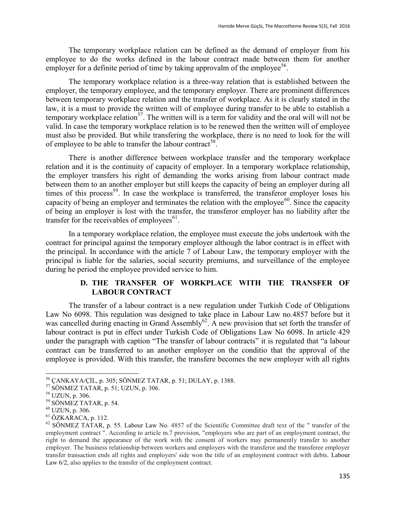The temporary workplace relation can be defined as the demand of employer from his employee to do the works defined in the labour contract made between them for another employer for a definite period of time by taking approvalm of the employee<sup>56</sup>.

The temporary workplace relation is a three-way relation that is established between the employer, the temporary employee, and the temporary employer. There are prominent differences between temporary workplace relation and the transfer of workplace. As it is clearly stated in the law, it is a must to provide the written will of employee during transfer to be able to establish a temporary workplace relation<sup>57</sup>. The written will is a term for validity and the oral will will not be valid. In case the temporary workplace relation is to be renewed then the written will of employee must also be provided. But while transfering the workplace, there is no need to look for the will of employee to be able to transfer the labour contract<sup>58</sup>.

There is another difference between workplace transfer and the temporary workplace relation and it is the continuity of capacity of employer. In a temporary workplace relationship, the employer transfers his right of demanding the works arising from labour contract made between them to an another employer but still keeps the capacity of being an employer during all times of this process<sup>59</sup>. In case the workplace is transferred, the transferor employer loses his capacity of being an employer and terminates the relation with the employee<sup>60</sup>. Since the capacity of being an employer is lost with the transfer, the transferor employer has no liability after the transfer for the receivables of employees $61$ .

In a temporary workplace relation, the employee must execute the jobs undertook with the contract for principal against the temporary employer although the labor contract is in effect with the principal. In accordance with the article 7 of Labour Law, the temporary employer with the principal is liable for the salaries, social security premiums, and surveillance of the employee during he period the employee provided service to him.

# **D. THE TRANSFER OF WORKPLACE WITH THE TRANSFER OF LABOUR CONTRACT**

The transfer of a labour contract is a new regulation under Turkish Code of Obligations Law No 6098. This regulation was designed to take place in Labour Law no.4857 before but it was cancelled during enacting in Grand Assembly<sup>62</sup>. A new provision that set forth the transfer of labour contract is put in effect under Turkish Code of Obligations Law No 6098. In article 429 under the paragraph with caption "The transfer of labour contracts" it is regulated that "a labour contract can be transferred to an another employer on the conditio that the approval of the employee is provided. With this transfer, the transfere becomes the new employer with all rights

<sup>56</sup> ÇANKAYA/ÇİL, p. 305; SÖNMEZ TATAR, p. 51; DULAY, p. 1388.

 $57$  SÖNMEZ TATAR, p. 51; UZUN, p. 306.

<sup>58</sup> UZUN, p. 306.

<sup>59</sup> SÖNMEZ TATAR, p. 54.

 $60$  UZUN, p. 306.

 $61$  ÖZKARACA, p. 112.

 $62$  SÖNMEZ TATAR, p. 55. Labour Law No. 4857 of the Scientific Committee draft text of the " transfer of the employment contract ". According to article m.7 provision, "employers who are part of an employment contract, the right to demand the appearance of the work with the consent of workers may permanently transfer to another employer. The business relationship between workers and employers with the transferor and the transferee employer transfer transaction ends all rights and employers' side won the title of an employment contract with debts. Labour Law  $6/2$ , also applies to the transfer of the employment contract.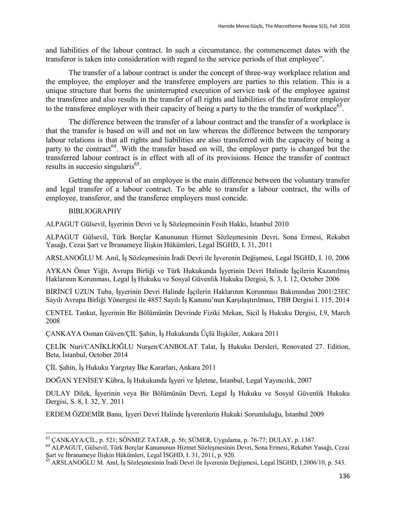and liabilities of the labour contract. In such a circumstance, the commencemet dates with the transferor is taken into consideration with regard to the service periods of that employee".

The transfer of a labour contract is under the concept of three-way workplace relation and the employee, the employer and the transferee employers are parties to this relation. This is a unique structure that borns the uninterrupted execution of service task of the employee against the transferee and also results in the transfer of all rights and liabilities of the transferor employer to the transferee employer with their capacity of being a party to the the transfer of workplace<sup>63</sup>.

The difference between the transfer of a labour contract and the transfer of a workplace is that the transfer is based on will and not on law whereas the difference between the temporary labour relations is that all rights and liabilities are also transferred with the capacity of being a party to the contract<sup>64</sup>. With the transfer based on will, the employer party is changed but the transferred labour contract is in effect with all of its provisions. Hence the transfer of contract results in succesio singularis<sup>65</sup>.

Getting the approval of an employee is the main difference between the voluntary transfer and legal transfer of a labour contract. To be able to transfer a labour contract, the wills of employee, transferor, and the transferee employers must concide.

## BIBLIOGRAPHY

ALPAGUT Gülsevil, İşyerinin Devri ve İş Sözleşmesinin Fesih Hakkı, İstanbul 2010

ALPAGUT Gülsevil, Türk Borçlar Kanununun Hizmet Sözleşmesinin Devri, Sona Ermesi, Rekabet Yasağı, Cezai Şart ve İbranameye İlişkin Hükümleri, Legal İSGHD, I. 31, 2011

ARSLANOĞLU M. Anıl, İş Sözleşmesinin İradi Devri ile İşverenin Değişmesi, Legal İSGHD, I. 10, 2006

AYKAN Ömer Yiğit, Avrupa Birliği ve Türk Hukukunda İşyerinin Devri Halinde İşçilerin Kazanılmış Haklarının Korunması, Legal İş Hukuku ve Sosyal Güvenlik Hukuku Dergisi, S. 3, I. 12, October 2006

BİRİNCİ UZUN Tuba, İşyerinin Devri Halinde İşçilerin Haklarının Korunması Bakımından 2001/23EC Sayılı Avrupa Birliği Yönergesi ile 4857 Sayılı İş Kanunu'nun Karşılaştırılması, TBB Dergisi I. 115, 2014

CENTEL Tankut, İşyerinin Bir Bölümünün Devrinde Fiziki Mekan, Sicil İş Hukuku Dergisi, I.9, March 2008

ÇANKAYA Osman Güven/ÇİL Şahin, İş Hukukunda Üçlü İlişkiler, Ankara 2011

ÇELİK Nuri/CANİKLİOĞLU Nurşen/CANBOLAT Talat, İş Hukuku Dersleri, Renovated 27. Edition, Beta, İstanbul, October 2014

ÇİL Şahin, İş Hukuku Yargıtay İlke Kararları, Ankara 2011

DOĞAN YENİSEY Kübra, İş Hukukunda İşyeri ve İşletme, İstanbul, Legal Yayıncılık, 2007

DULAY Dilek, İşyerinin veya Bir Bölümünün Devri, Legal İş Hukuku ve Sosyal Güvenlik Hukuku Dergisi, S. 8, I. 32, Y. 2011

ERDEM ÖZDEMİR Banu, İşyeri Devri Halinde İşverenlerin Hukuki Sorumluluğu, İstanbul 2009

 $\overline{a}$  $^{63}$  CANKAYA/CIL, p. 521; SÖNMEZ TATAR, p. 56; SÜMER, Uygulama, p. 76-77; DULAY, p. 1387.

<sup>64</sup> ALPAGUT, Gülsevil, Türk Borçlar Kanununun Hizmet Sözleşmesinin Devri, Sona Ermesi, Rekabet Yasağı, Cezai Şart ve İbranameye İlişkin Hükümleri, Legal İSGHD, I. 31, 2011, p. 920.

<sup>65</sup> ARSLANOĞLU M. Anıl, İş Sözleşmesinin İradi Devri ile İşverenin Değişmesi, Legal İSGHD, I.2006/10, p. 543.